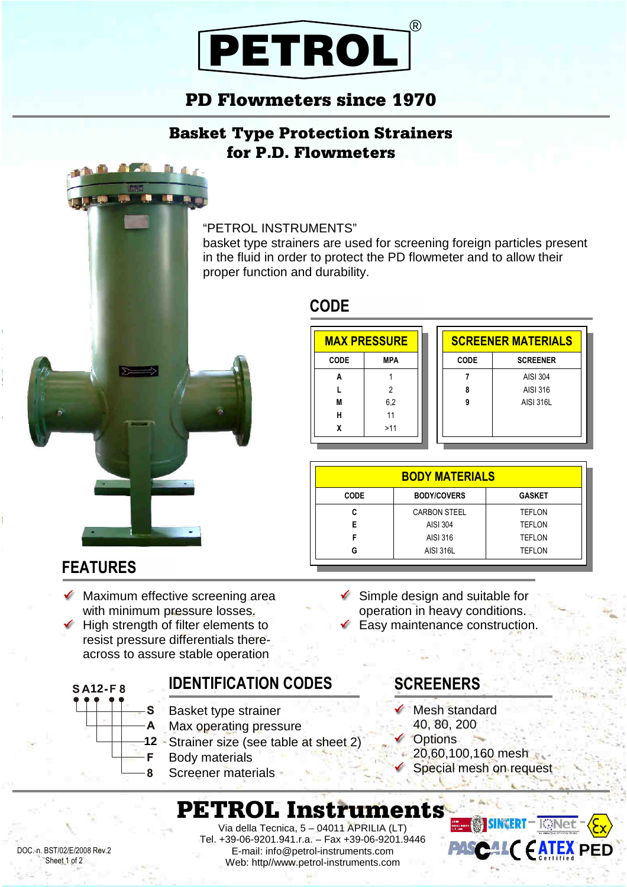

## PD Flowmeters since 1970

### Basket Type Protection Strainers for P.D. Flowmeters

#### "PETROL INSTRUMENTS"

basket type strainers are used for screening foreign particles present in the fluid in order to protect the PD flowmeter and to allow their proper function and durability.

### **CODE**

| <b>MAX PRESSURE</b> |                |  |  |  |
|---------------------|----------------|--|--|--|
| CODE                | MPA            |  |  |  |
| A                   |                |  |  |  |
| L                   | $\overline{2}$ |  |  |  |
| M                   | 6,2            |  |  |  |
| н                   | 11             |  |  |  |
| χ                   | >11            |  |  |  |
|                     |                |  |  |  |

| <b>SCREENER MATERIALS</b> |                  |  |  |  |  |
|---------------------------|------------------|--|--|--|--|
| CODE                      | <b>SCREENER</b>  |  |  |  |  |
|                           | AISI 304         |  |  |  |  |
| 8                         | AISI 316         |  |  |  |  |
| g                         | <b>AISI 316L</b> |  |  |  |  |
|                           |                  |  |  |  |  |
|                           |                  |  |  |  |  |

| <b>BODY MATERIALS</b> |                     |               |  |  |  |
|-----------------------|---------------------|---------------|--|--|--|
| <b>CODE</b>           | <b>BODY/COVERS</b>  | <b>GASKET</b> |  |  |  |
|                       | <b>CARBON STEEL</b> | <b>TEFLON</b> |  |  |  |
| F                     | AISI 304            | <b>TEFLON</b> |  |  |  |
|                       | AISI 316            | <b>TEFLON</b> |  |  |  |
| G                     | <b>AISI 316L</b>    | <b>TEFLON</b> |  |  |  |

### **FEATURES**

**SA12-F8** 

 Maximum effective screening area with minimum pressure losses.

**R**  $\overline{a}$ 

 High strength of filter elements to resist pressure differentials thereacross to assure stable operation

A

g

### **IDENTIFICATION CODES**

- S Basket type strainer
	- Max operating pressure
- Strainer size (see table at sheet 2) **12**
- F Body materials
	- Screener materials

 $\checkmark$  Simple design and suitable for operation in heavy conditions. Easy maintenance construction.

### **SCREENERS**

- Mesh standard
	- 40, 80, 200
- Options
- 20,60,100,160 mesh
- Special mesh on request

# PETROL Instruments

DOC. n. BST/02/E/2008 Rev.2 Sheet 1 of 2

Via della Tecnica, 5 – 04011 APRILIA (LT) Tel. +39-06-9201.941.r.a. – Fax +39-06-9201.9446 E-mail: info@petrol-instruments.com Web: http//www.petrol-instruments.com